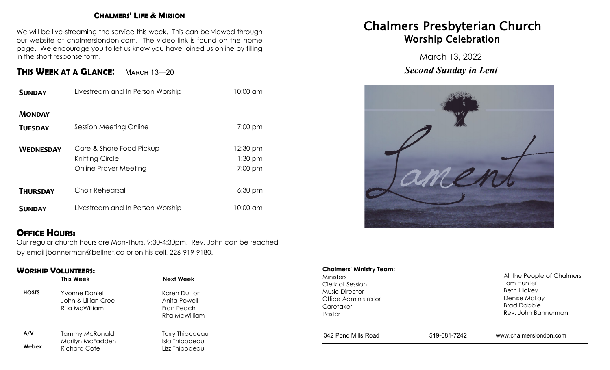### **CHALMERS' LIFE & MISSION**

We will be live-streaming the service this week. This can be viewed through our website at chalmerslondon.com. The video link is found on the home page. We encourage you to let us know you have joined us online by filling in the short response form.

## **THIS WEEK AT <sup>A</sup> GLANCE**: March 13—<sup>20</sup>

| <b>SUNDAY</b>    | Livestream and In Person Worship                                     | 10:00 am                         |
|------------------|----------------------------------------------------------------------|----------------------------------|
| <b>MONDAY</b>    |                                                                      |                                  |
| <b>TUESDAY</b>   | Session Meeting Online                                               | $7:00$ pm                        |
| <b>WEDNESDAY</b> | Care & Share Food Pickup<br>Knitting Circle<br>Online Prayer Meeting | 12:30 pm<br>$1:30$ pm<br>7:00 pm |
| <b>THURSDAY</b>  | <b>Choir Rehearsal</b>                                               | $6:30 \text{ pm}$                |
| <b>SUNDAY</b>    | Livestream and In Person Worship                                     | 10:00 am                         |

## **OFFICE HOURS:**

Our regular church hours are Mon-Thurs, 9:30-4:30pm. Rev. John can be reached by email jbannerman@bellnet.ca or on his cell, 226-919-9180.

#### **WORSHIP VOLUNTEERS:**

|              | This Week                                              | Next Week                                                    |
|--------------|--------------------------------------------------------|--------------------------------------------------------------|
| <b>HOSTS</b> | Yvonne Daniel<br>John & Lillian Cree<br>Rita McWilliam | Karen Dutton<br>Anita Powell<br>Fran Peach<br>Rita McWilliam |
| A/V          | <b>Tammy McRonald</b>                                  | Torry Thibodeau                                              |
| Webex        | Marilyn McFadden<br><b>Richard Cote</b>                | Isla Thibodeau<br>Lizz Thibodeau                             |

# Chalmers Presbyterian Church Worship Celebration

March 13, 2022 *Second Sunday in Lent*



#### **Chalmers' Ministry Team:**

Ministers Clerk of Session Music Director Office Administrator **Caretaker** Pastor

All the People of Chalmers Tom Hunter Beth Hickey Denise McLay Brad Dobbie Rev. John Bannerman

342 Pond Mills Road 519-681-7242 www.chalmerslondon.com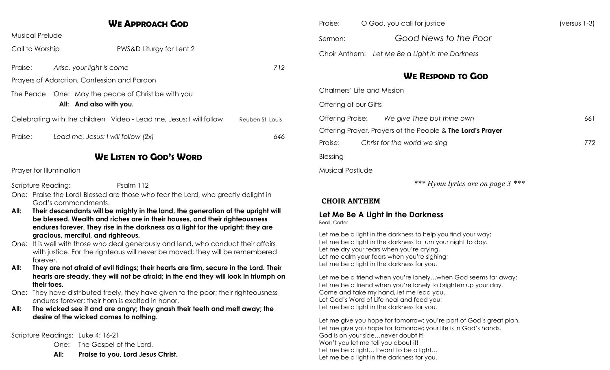|                                                                                                                                                                                                                                                           | <b>WE APPROACH GOD</b>                                                            |                         | Praise:                    | O God, you cal                    |
|-----------------------------------------------------------------------------------------------------------------------------------------------------------------------------------------------------------------------------------------------------------|-----------------------------------------------------------------------------------|-------------------------|----------------------------|-----------------------------------|
| <b>Musical Prelude</b>                                                                                                                                                                                                                                    |                                                                                   |                         | Sermon:                    | Goc                               |
| Call to Worship                                                                                                                                                                                                                                           | PWS&D Liturgy for Lent 2                                                          |                         | Choir Anthem:              | Let Me Be a                       |
| Praise:                                                                                                                                                                                                                                                   | Arise, your light is come                                                         | 712                     |                            |                                   |
|                                                                                                                                                                                                                                                           | Prayers of Adoration, Confession and Pardon                                       |                         |                            | W                                 |
| The Peace One: May the peace of Christ be with you<br>All: And also with you.                                                                                                                                                                             |                                                                                   |                         | Chalmers' Life and Mission |                                   |
|                                                                                                                                                                                                                                                           |                                                                                   |                         | Offering of our Gifts      |                                   |
|                                                                                                                                                                                                                                                           | Celebrating with the children Video - Lead me, Jesus; I will follow               | Reuben St. Louis        | <b>Offering Praise:</b>    | We give                           |
|                                                                                                                                                                                                                                                           |                                                                                   | 646                     |                            | Offering Prayer, Prayers of the   |
| Praise:                                                                                                                                                                                                                                                   | Lead me, Jesus; I will follow (2x)                                                |                         | Praise:                    | Christ for the wo                 |
|                                                                                                                                                                                                                                                           | <b>WE LISTEN TO GOD'S WORD</b>                                                    |                         | Blessing                   |                                   |
| Prayer for Illumination                                                                                                                                                                                                                                   |                                                                                   | <b>Musical Postlude</b> |                            |                                   |
| Scripture Reading:                                                                                                                                                                                                                                        | Psalm 112                                                                         |                         |                            |                                   |
| God's commandments.                                                                                                                                                                                                                                       | One: Praise the Lord! Blessed are those who fear the Lord, who greatly delight in |                         | <b>CHOIR ANTHEM</b>        |                                   |
| Their descendants will be mighty in the land, the generation of the upright will<br>All:<br>be blessed. Wealth and riches are in their houses, and their righteousness<br>endures forever. They rise in the darkness as a light for the upright; they are |                                                                                   | <b>Beall</b> , Carter   | Let Me Be A Light in the I |                                   |
|                                                                                                                                                                                                                                                           | gracious, merciful, and righteous.                                                |                         |                            | Let me be a light in the darknes: |

One: It is well with those who deal generously and lend, who conduct their affairs with justice. For the righteous will never be moved; they will be remembered forever.

**All: They are not afraid of evil tidings; their hearts are firm, secure in the Lord. Their hearts are steady, they will not be afraid; in the end they will look in triumph on their foes.** 

One: They have distributed freely, they have given to the poor; their righteousness endures forever; their horn is exalted in honor.

**All: The wicked see it and are angry; they gnash their teeth and melt away; the desire of the wicked comes to nothing.** 

Scripture Readings: Luke 4: 16-21

One: The Gospel of the Lord.

**All: Praise to you, Lord Jesus Christ.**

| Praise: | O God, you call for justice                     |
|---------|-------------------------------------------------|
| Sermon: | Good News to the Poor                           |
|         | Choir Anthem: Let Me Be a Light in the Darkness |

## **WE RESPOND TO GOD**

Thee but thine own 661

Offering Prayer, Prayers of the People & **The Lord's Prayer**

Praise: *Christ for the world we sing* 772

*\*\*\* Hymn lyrics are on page 3 \*\*\** 

## **Darkness**

Let me be a light in the darkness to help you find your way; Let me be a light in the darkness to turn your night to day. Let me dry your tears when you're crying, Let me calm your fears when you're sighing; Let me be a light in the darkness for you.

Let me be a friend when you're lonely...when God seems far away; Let me be a friend when you're lonely to brighten up your day. Come and take my hand, let me lead you. Let God's Word of Life heal and feed you; Let me be a light in the darkness for you.

Let me give you hope for tomorrow; you're part of God's great plan. Let me give you hope for tomorrow; your life is in God's hands. God is on your side…never doubt it! Won't you let me tell you about it! Let me be a light... I want to be a light... Let me be a light in the darkness for you.

 $(versus 1-3)$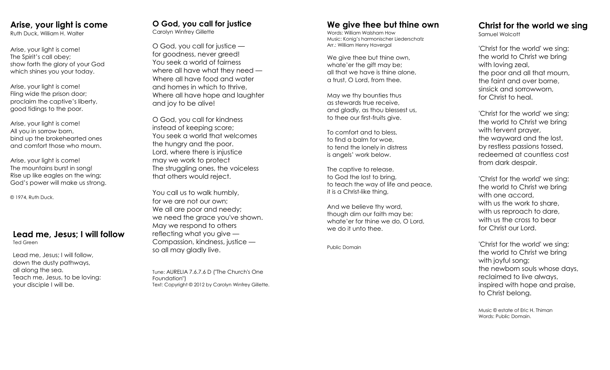## **Arise, your light is come**

Ruth Duck, William H. Walter

Arise, your light is come! The Spirit's call obey; show forth the glory of your God which shines you your today.

Arise, your light is come! Fling wide the prison door; proclaim the captive's liberty, good tidings to the poor.

Arise, your light is come! All you in sorrow born, bind up the brokehearted ones and comfort those who mourn.

Arise, your light is come! The mountains burst in song! Rise up like eagles on the wing; God's power will make us strong.

© 1974, Ruth Duck.

## **Lead me, Jesus; I will follow**

Ted Green

Lead me, Jesus; I will follow, down the dusty pathways, all along the sea. Teach me, Jesus, to be loving: your disciple I will be.

#### **O God, you call for justice** Carolyn Winfrey Gillette

O God, you call for justice for goodness, never greed! You seek a world of fairness where all have what they need — Where all have food and water and homes in which to thrive, Where all have hope and laughter and joy to be alive!

O God, you call for kindness instead of keeping score; You seek a world that welcomes the hungry and the poor. Lord, where there is injustice may we work to protect The struggling ones, the voiceless that others would reject.

You call us to walk humbly, for we are not our own; We all are poor and needy: we need the grace you've shown. May we respond to others reflecting what you give — Compassion, kindness, justice so all may gladly live.

Tune: AURELIA 7.6.7.6 D ("The Church's One Foundation") Text: Copyright © 2012 by Carolyn Winfrey Gillette.

## **We give thee but thine own**

Words: William Walsham How Music: Konig's harmonischer Liederschatz Arr.: William Henry Havergal

We give thee but thine own, whate'er the aift may be: all that we have is thine alone, a trust, O Lord, from thee.

May we thy bounties thus as stewards true receive, and gladly, as thou blessest us, to thee our first -fruits give.

To comfort and to bless, to find a balm for woe, to tend the lonely in distress is angels' work below.

The captive to release, to God the lost to bring, to teach the way of life and peace, it is a Christ -like thing,

And we believe thy word, though dim our faith may be: whate'er for thine we do, O Lord, we do it unto thee.

Public Domain

#### **Christ for the world we sing** Samuel Wolcott

'Christ for the world' we sing; the world to Christ we bring with loving zeal, the poor and all that mourn, the faint and over borne, sinsick and sorrowworn, for Christ to heal.

'Christ for the world' we sing; the world to Christ we bring with fervent prayer, the wayward and the lost, by restless passions tossed, redeemed at countless cost from dark despair.

'Christ for the world' we sing; the world to Christ we bring with one accord, with us the work to share, with us reproach to dare, with us the cross to bear for Christ our Lord.

'Christ for the world' we sing; the world to Christ we bring with joyful song; the newborn souls whose days, reclaimed to live always, inspired with hope and praise, to Christ belong.

Music © estate of Eric H. Thiman Words: Public Domain.